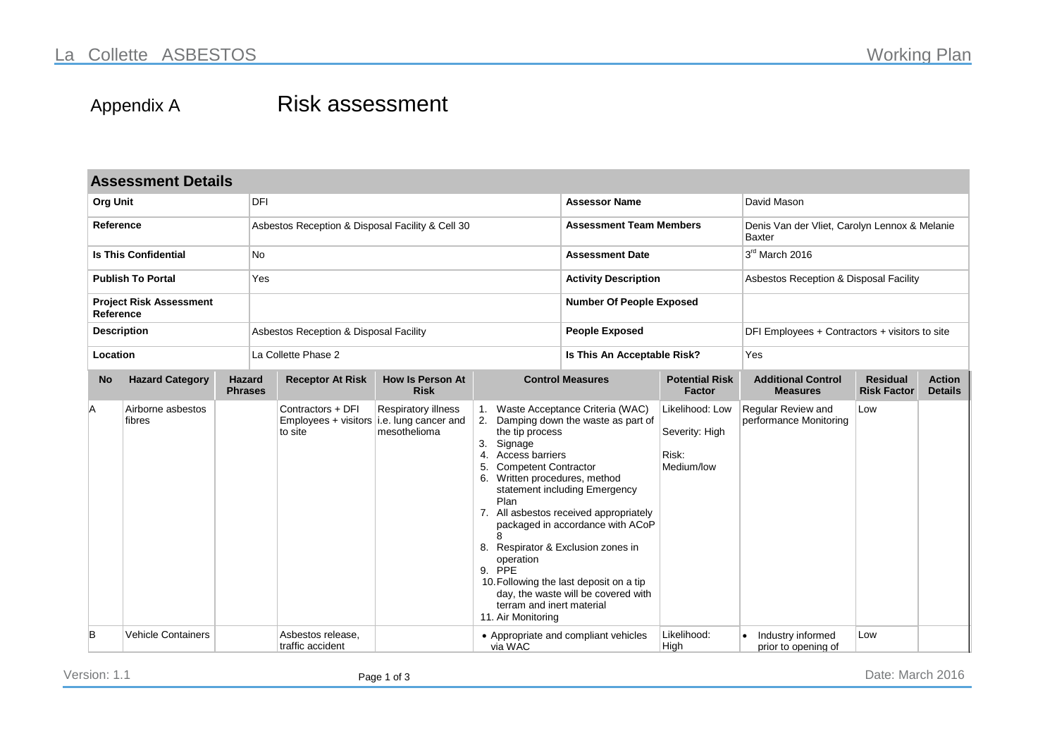## Appendix A Risk assessment

| <b>Assessment Details</b>                   |                             |                                 |                     |                                                                             |                                        |                                                                                                                                                                                                                                                                           |                        |                                                                                                                                                                                                                                                                          |                                                          |                                                |                                                                |                                 |  |
|---------------------------------------------|-----------------------------|---------------------------------|---------------------|-----------------------------------------------------------------------------|----------------------------------------|---------------------------------------------------------------------------------------------------------------------------------------------------------------------------------------------------------------------------------------------------------------------------|------------------------|--------------------------------------------------------------------------------------------------------------------------------------------------------------------------------------------------------------------------------------------------------------------------|----------------------------------------------------------|------------------------------------------------|----------------------------------------------------------------|---------------------------------|--|
| <b>Org Unit</b>                             |                             |                                 | DFI                 |                                                                             |                                        |                                                                                                                                                                                                                                                                           | <b>Assessor Name</b>   |                                                                                                                                                                                                                                                                          | David Mason                                              |                                                |                                                                |                                 |  |
| Reference                                   |                             |                                 |                     | Asbestos Reception & Disposal Facility & Cell 30                            |                                        |                                                                                                                                                                                                                                                                           |                        | <b>Assessment Team Members</b>                                                                                                                                                                                                                                           |                                                          |                                                | Denis Van der Vliet, Carolyn Lennox & Melanie<br><b>Baxter</b> |                                 |  |
| <b>Is This Confidential</b>                 |                             |                                 |                     |                                                                             |                                        |                                                                                                                                                                                                                                                                           | <b>Assessment Date</b> |                                                                                                                                                                                                                                                                          | 3rd March 2016                                           |                                                |                                                                |                                 |  |
| <b>Publish To Portal</b>                    |                             |                                 |                     | Yes                                                                         |                                        |                                                                                                                                                                                                                                                                           |                        | <b>Activity Description</b>                                                                                                                                                                                                                                              |                                                          | Asbestos Reception & Disposal Facility         |                                                                |                                 |  |
| <b>Project Risk Assessment</b><br>Reference |                             |                                 |                     |                                                                             |                                        |                                                                                                                                                                                                                                                                           |                        | <b>Number Of People Exposed</b>                                                                                                                                                                                                                                          |                                                          |                                                |                                                                |                                 |  |
| <b>Description</b>                          |                             |                                 |                     | Asbestos Reception & Disposal Facility                                      |                                        |                                                                                                                                                                                                                                                                           |                        | <b>People Exposed</b>                                                                                                                                                                                                                                                    |                                                          | DFI Employees + Contractors + visitors to site |                                                                |                                 |  |
| Location                                    |                             |                                 | La Collette Phase 2 |                                                                             |                                        |                                                                                                                                                                                                                                                                           |                        | Is This An Acceptable Risk?                                                                                                                                                                                                                                              |                                                          | Yes                                            |                                                                |                                 |  |
| <b>No</b>                                   | <b>Hazard Category</b>      | <b>Hazard</b><br><b>Phrases</b> |                     | <b>Receptor At Risk</b>                                                     | <b>How Is Person At</b><br><b>Risk</b> |                                                                                                                                                                                                                                                                           |                        | <b>Control Measures</b>                                                                                                                                                                                                                                                  | <b>Potential Risk</b><br><b>Factor</b>                   | <b>Additional Control</b><br><b>Measures</b>   | <b>Residual</b><br><b>Risk Factor</b>                          | <b>Action</b><br><b>Details</b> |  |
| A                                           | Airborne asbestos<br>fibres |                                 |                     | Contractors + DFI<br>Employees $+$ visitors i.e. lung cancer and<br>to site | Respiratory illness<br>mesothelioma    | 1.<br>the tip process<br>3.<br>Signage<br><b>Access barriers</b><br>4.<br><b>Competent Contractor</b><br>5.<br>6. Written procedures, method<br>Plan<br>8<br>8. Respirator & Exclusion zones in<br>operation<br>9. PPE<br>terram and inert material<br>11. Air Monitoring |                        | Waste Acceptance Criteria (WAC)<br>2. Damping down the waste as part of<br>statement including Emergency<br>7. All asbestos received appropriately<br>packaged in accordance with ACoP<br>10. Following the last deposit on a tip<br>day, the waste will be covered with | Likelihood: Low<br>Severity: High<br>Risk:<br>Medium/low | Regular Review and<br>performance Monitoring   | Low                                                            |                                 |  |
| B                                           | <b>Vehicle Containers</b>   |                                 |                     | Asbestos release.<br>traffic accident                                       |                                        | via WAC                                                                                                                                                                                                                                                                   |                        | • Appropriate and compliant vehicles                                                                                                                                                                                                                                     | Likelihood:<br>High                                      | Industry informed<br>prior to opening of       | Low                                                            |                                 |  |

Version: 1.1 Page 1 of 3 Date: March 2016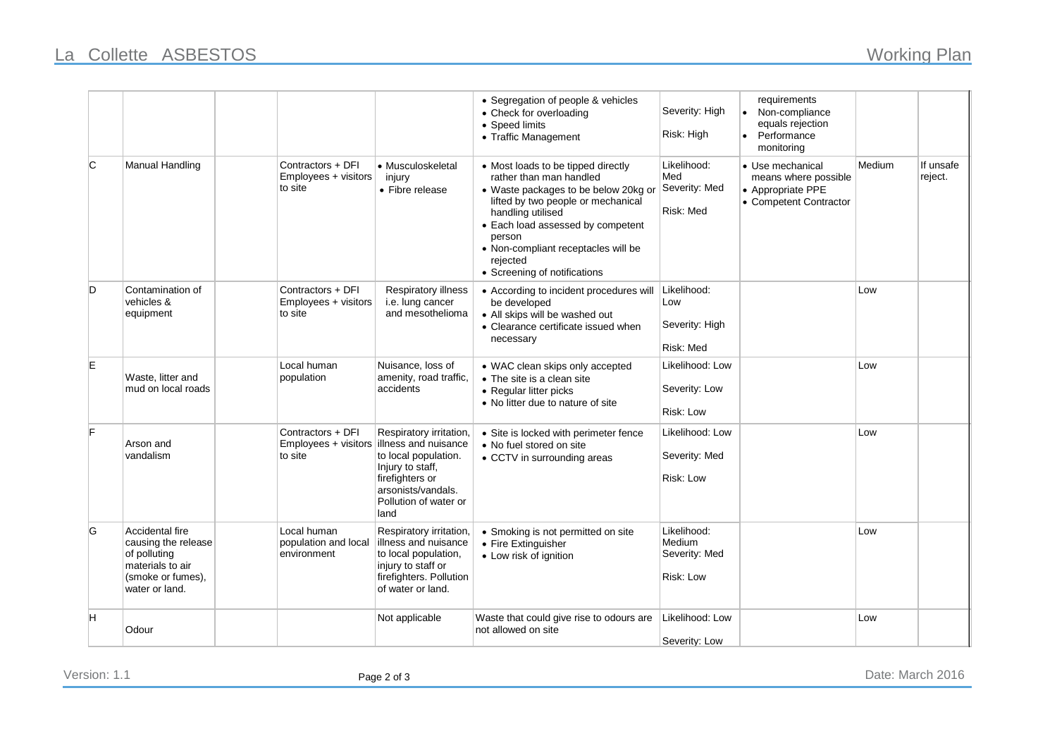|    |                                                                                                                   |                                                      |                                                                                                                                                                        | • Segregation of people & vehicles<br>• Check for overloading<br>• Speed limits<br>• Traffic Management                                                                                                                                                                                            | Severity: High<br>Risk: High                        | requirements<br>Non-compliance<br>equals rejection<br>• Performance<br>monitoring       |        |                      |
|----|-------------------------------------------------------------------------------------------------------------------|------------------------------------------------------|------------------------------------------------------------------------------------------------------------------------------------------------------------------------|----------------------------------------------------------------------------------------------------------------------------------------------------------------------------------------------------------------------------------------------------------------------------------------------------|-----------------------------------------------------|-----------------------------------------------------------------------------------------|--------|----------------------|
| C  | <b>Manual Handling</b>                                                                                            | Contractors + DFI<br>Employees + visitors<br>to site | • Musculoskeletal<br>injury<br>• Fibre release                                                                                                                         | • Most loads to be tipped directly<br>rather than man handled<br>• Waste packages to be below 20kg or<br>lifted by two people or mechanical<br>handling utilised<br>• Each load assessed by competent<br>person<br>• Non-compliant receptacles will be<br>rejected<br>• Screening of notifications | Likelihood:<br>Med<br>Severity: Med<br>Risk: Med    | • Use mechanical<br>means where possible<br>• Appropriate PPE<br>• Competent Contractor | Medium | If unsafe<br>reject. |
| D  | Contamination of<br>vehicles &<br>equipment                                                                       | Contractors + DFI<br>Employees + visitors<br>to site | <b>Respiratory illness</b><br>i.e. lung cancer<br>and mesothelioma                                                                                                     | • According to incident procedures will<br>be developed<br>• All skips will be washed out<br>• Clearance certificate issued when<br>necessary                                                                                                                                                      | Likelihood:<br>Low<br>Severity: High<br>Risk: Med   |                                                                                         | Low    |                      |
| E. | Waste, litter and<br>mud on local roads                                                                           | Local human<br>population                            | Nuisance, loss of<br>amenity, road traffic,<br>accidents                                                                                                               | • WAC clean skips only accepted<br>• The site is a clean site<br>• Regular litter picks<br>• No litter due to nature of site                                                                                                                                                                       | Likelihood: Low<br>Severity: Low<br>Risk: Low       |                                                                                         | Low    |                      |
| F  | Arson and<br>vandalism                                                                                            | Contractors + DFI<br>Employees + visitors<br>to site | Respiratory irritation,<br>lillness and nuisance<br>to local population.<br>Injury to staff,<br>firefighters or<br>arsonists/vandals.<br>Pollution of water or<br>land | • Site is locked with perimeter fence<br>• No fuel stored on site<br>• CCTV in surrounding areas                                                                                                                                                                                                   | Likelihood: Low<br>Severity: Med<br>Risk: Low       |                                                                                         | Low    |                      |
| G  | Accidental fire<br>causing the release<br>of polluting<br>materials to air<br>(smoke or fumes),<br>water or land. | Local human<br>population and local<br>environment   | Respiratory irritation,<br>illness and nuisance<br>to local population,<br>injury to staff or<br>firefighters. Pollution<br>of water or land.                          | • Smoking is not permitted on site<br>• Fire Extinguisher<br>• Low risk of ignition                                                                                                                                                                                                                | Likelihood:<br>Medium<br>Severity: Med<br>Risk: Low |                                                                                         | Low    |                      |
| H  | Odour                                                                                                             |                                                      | Not applicable                                                                                                                                                         | Waste that could give rise to odours are<br>not allowed on site                                                                                                                                                                                                                                    | Likelihood: Low<br>Severity: Low                    |                                                                                         | Low    |                      |